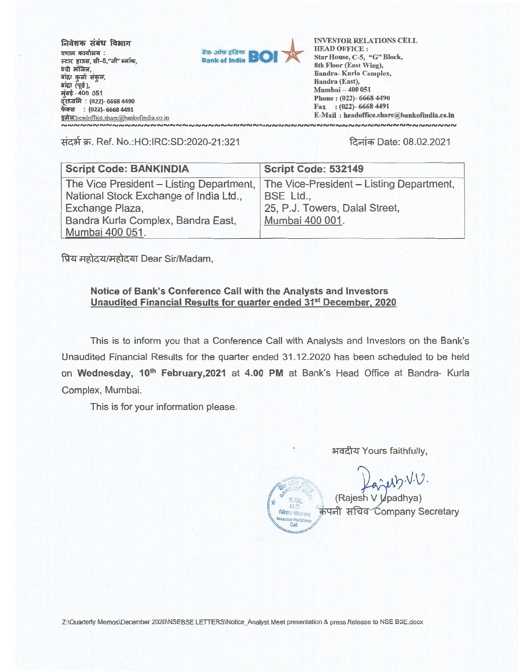**निवेशक संबंध विभाग rtur 4,i+itepti** : स्टार हाउस, सी-5,"जी" ब्लॉक, 8वी मंजिल, **aiwr t--ar Tip;**  बांद्रा (पूर्व), **44-400 <sup>051</sup> ctsit—d (022)- 6668 4490 फेक्स : (022)- 6668 4491** ENGLINE COMMAND PROPERTY



**Bank of India BOI AT ALL STATE SET AND OFFICE :**<br>
Bank of India **BOI AT ALL Star House**, C-5, "G" Block,<br>
8th Floor (East Wing), **HEAD OFFICE : Star House, C-5, "G" Block, 8th Floor (East Wing), Bandra- Kurla Complex, Bandra (East), Mumbai — 400 051 Phone : (022)- 6668 4490 Fax : (022)- 6668 4491 E-Mail : headoffice.share@bankofindia.co.in**  ៴**៷៷៷៷៷៷៷៷៷៷៷៷៷៷៷៷៷៷៷៷៷៷៷៷៷៷៷៷៷៷៷៷៷** 

**Ti-<sup>4</sup>-34" T.** Ref. No.:HO:IRC:SD:2020-21:321 fa—A--Date: 08.02.2021

| <b>Script Code: BANKINDIA</b>                                                                         | Script Code: 532149                                                                     |
|-------------------------------------------------------------------------------------------------------|-----------------------------------------------------------------------------------------|
| The Vice President - Listing Department,<br>National Stock Exchange of India Ltd.,<br>Exchange Plaza, | The Vice-President - Listing Department,<br>BSE Ltd.,<br>25, P.J. Towers, Dalal Street, |
| Bandra Kurla Complex, Bandra East,<br>Mumbai 400 051.                                                 | Mumbai 400 001.                                                                         |

प्रिय महोदय/महोदया Dear Sir/Madam,

#### **Notice of Bank's Conference Call with the Analysts and Investors Unaudited Financial Results for quarter ended 31st December, 2020**

This is to inform you that a Conference Call with Analysts and Investors on the Bank's Unaudited Financial Results for the quarter ended 31.12.2020 has been scheduled to be held on **Wednesday, 10th February,2021** at **4.00 PM** at Bank's Head Office at Bandra- Kurla Complex, Mumbai.

This is for your information please.

अवदीय Yours faithfully,

.•

Cell

 $\hat{y}$ usb. $VU$ .

(Rajesh V V padhya) H.O. Hill Company Secretary